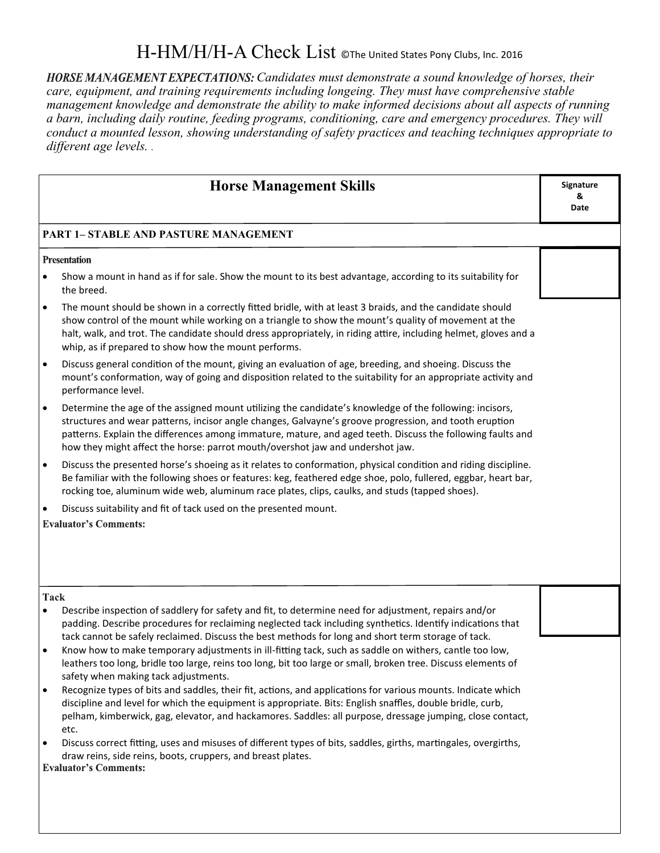# H-HM/H/H-A Check List ©The United States Pony Clubs, Inc. 2016

HORSE MANAGEMENT EXPECTATIONS: Candidates must demonstrate a sound knowledge of horses, their *care, equipment, and training requirements including longeing. They must have comprehensive stable management knowledge and demonstrate the ability to make informed decisions about all aspects of running a barn, including daily routine, feeding programs, conditioning, care and emergency procedures. They will conduct a mounted lesson, showing understanding of safety practices and teaching techniques appropriate to different age levels. .* 

|                                              | <b>Horse Management Skills</b>                                                                                                                                                                                                                                                                                                                                                                                   | Signature<br>&<br>Date |
|----------------------------------------------|------------------------------------------------------------------------------------------------------------------------------------------------------------------------------------------------------------------------------------------------------------------------------------------------------------------------------------------------------------------------------------------------------------------|------------------------|
| <b>PART 1- STABLE AND PASTURE MANAGEMENT</b> |                                                                                                                                                                                                                                                                                                                                                                                                                  |                        |
| <b>Presentation</b>                          |                                                                                                                                                                                                                                                                                                                                                                                                                  |                        |
|                                              | Show a mount in hand as if for sale. Show the mount to its best advantage, according to its suitability for<br>the breed.                                                                                                                                                                                                                                                                                        |                        |
| $\bullet$                                    | The mount should be shown in a correctly fitted bridle, with at least 3 braids, and the candidate should<br>show control of the mount while working on a triangle to show the mount's quality of movement at the<br>halt, walk, and trot. The candidate should dress appropriately, in riding attire, including helmet, gloves and a<br>whip, as if prepared to show how the mount performs.                     |                        |
| $\bullet$                                    | Discuss general condition of the mount, giving an evaluation of age, breeding, and shoeing. Discuss the<br>mount's conformation, way of going and disposition related to the suitability for an appropriate activity and<br>performance level.                                                                                                                                                                   |                        |
| $\bullet$                                    | Determine the age of the assigned mount utilizing the candidate's knowledge of the following: incisors,<br>structures and wear patterns, incisor angle changes, Galvayne's groove progression, and tooth eruption<br>patterns. Explain the differences among immature, mature, and aged teeth. Discuss the following faults and<br>how they might affect the horse: parrot mouth/overshot jaw and undershot jaw. |                        |
| $\bullet$                                    | Discuss the presented horse's shoeing as it relates to conformation, physical condition and riding discipline.<br>Be familiar with the following shoes or features: keg, feathered edge shoe, polo, fullered, eggbar, heart bar,<br>rocking toe, aluminum wide web, aluminum race plates, clips, caulks, and studs (tapped shoes).                                                                               |                        |
| $\bullet$                                    | Discuss suitability and fit of tack used on the presented mount.                                                                                                                                                                                                                                                                                                                                                 |                        |
|                                              | <b>Evaluator's Comments:</b>                                                                                                                                                                                                                                                                                                                                                                                     |                        |
| <b>Tack</b><br>$\bullet$                     | Describe inspection of saddlery for safety and fit, to determine need for adjustment, repairs and/or<br>padding. Describe procedures for reclaiming neglected tack including synthetics. Identify indications that<br>tack cannot be safely reclaimed. Discuss the best methods for long and short term storage of tack.                                                                                         |                        |
|                                              | Know how to make temporary adjustments in ill-fitting tack, such as saddle on withers, cantle too low,<br>leathers too long, bridle too large, reins too long, bit too large or small, broken tree. Discuss elements of<br>safety when making tack adjustments.                                                                                                                                                  |                        |
| $\bullet$                                    | Recognize types of bits and saddles, their fit, actions, and applications for various mounts. Indicate which<br>discipline and level for which the equipment is appropriate. Bits: English snaffles, double bridle, curb,<br>pelham, kimberwick, gag, elevator, and hackamores. Saddles: all purpose, dressage jumping, close contact,<br>etc.                                                                   |                        |
| $\bullet$                                    | Discuss correct fitting, uses and misuses of different types of bits, saddles, girths, martingales, overgirths,<br>draw reins, side reins, boots, cruppers, and breast plates.<br><b>Evaluator's Comments:</b>                                                                                                                                                                                                   |                        |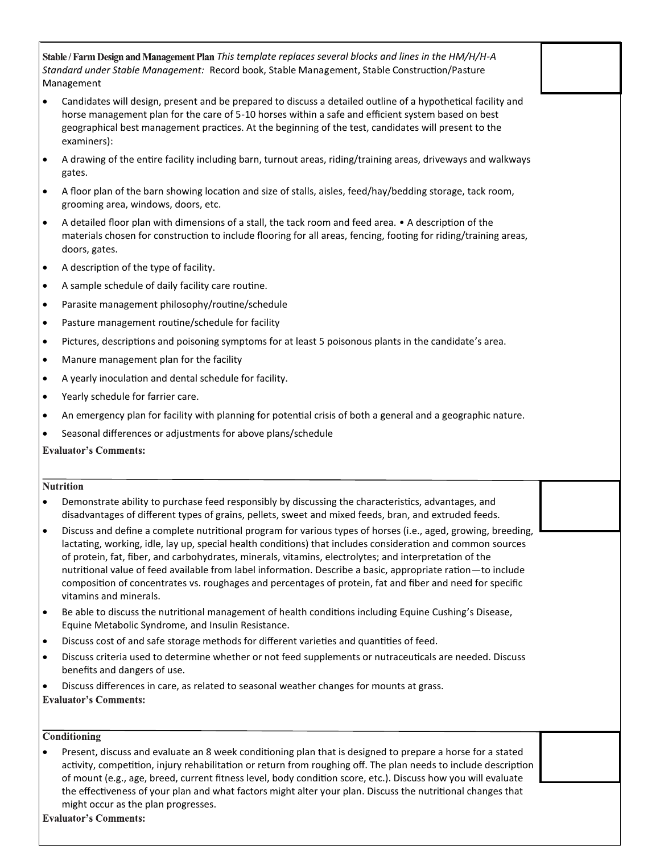*This template replaces several blocks and lines in the HM/H/H-A Standard under Stable Management:* Record book, Stable Management, Stable Construction/Pasture Management

- Candidates will design, present and be prepared to discuss a detailed outline of a hypothetical facility and horse management plan for the care of 5-10 horses within a safe and efficient system based on best geographical best management practices. At the beginning of the test, candidates will present to the examiners):
- A drawing of the entire facility including barn, turnout areas, riding/training areas, driveways and walkways gates.
- A floor plan of the barn showing location and size of stalls, aisles, feed/hay/bedding storage, tack room, grooming area, windows, doors, etc.
- A detailed floor plan with dimensions of a stall, the tack room and feed area. A description of the materials chosen for construction to include flooring for all areas, fencing, footing for riding/training areas, doors, gates.
- A description of the type of facility.
- A sample schedule of daily facility care routine.
- Parasite management philosophy/routine/schedule
- Pasture management routine/schedule for facility
- Pictures, descriptions and poisoning symptoms for at least 5 poisonous plants in the candidate's area.
- Manure management plan for the facility
- A yearly inoculation and dental schedule for facility.
- Yearly schedule for farrier care.
- An emergency plan for facility with planning for potential crisis of both a general and a geographic nature.
- Seasonal differences or adjustments for above plans/schedule

**Evaluator's Comments:** 

### **Nutrition**

- Demonstrate ability to purchase feed responsibly by discussing the characteristics, advantages, and disadvantages of different types of grains, pellets, sweet and mixed feeds, bran, and extruded feeds.
- Discuss and define a complete nutritional program for various types of horses (i.e., aged, growing, breeding, lactating, working, idle, lay up, special health conditions) that includes consideration and common sources of protein, fat, fiber, and carbohydrates, minerals, vitamins, electrolytes; and interpretation of the nutritional value of feed available from label information. Describe a basic, appropriate ration—to include composition of concentrates vs. roughages and percentages of protein, fat and fiber and need for specific vitamins and minerals.
- Be able to discuss the nutritional management of health conditions including Equine Cushing's Disease, Equine Metabolic Syndrome, and Insulin Resistance.
- Discuss cost of and safe storage methods for different varieties and quantities of feed.
- Discuss criteria used to determine whether or not feed supplements or nutraceuticals are needed. Discuss benefits and dangers of use.
- Discuss differences in care, as related to seasonal weather changes for mounts at grass.

**Evaluator's Comments:** 

## Conditioning

 Present, discuss and evaluate an 8 week conditioning plan that is designed to prepare a horse for a stated activity, competition, injury rehabilitation or return from roughing off. The plan needs to include description of mount (e.g., age, breed, current fitness level, body condition score, etc.). Discuss how you will evaluate the effectiveness of your plan and what factors might alter your plan. Discuss the nutritional changes that might occur as the plan progresses.

**Evaluator's Comments:**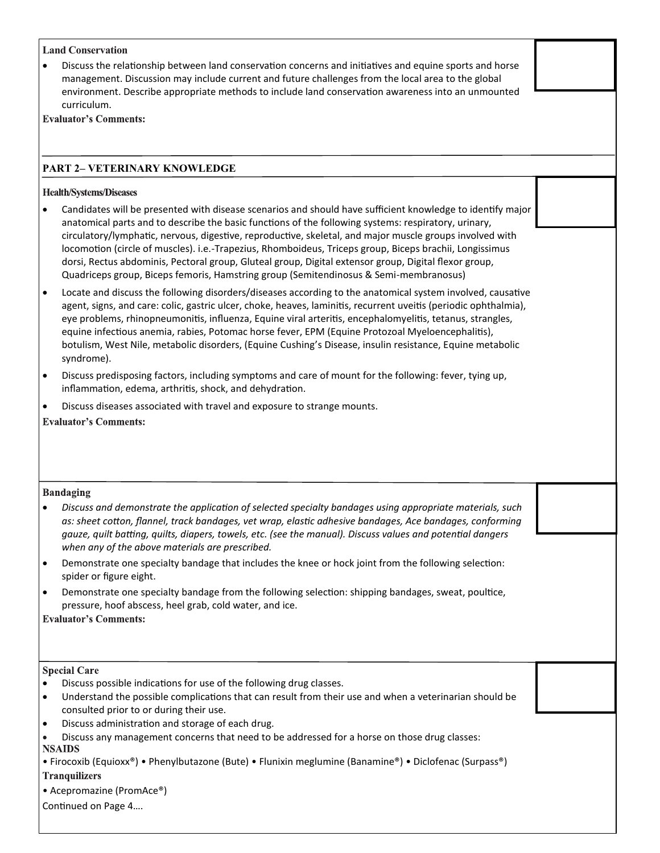#### **Land Conservation**

 Discuss the relationship between land conservation concerns and initiatives and equine sports and horse management. Discussion may include current and future challenges from the local area to the global environment. Describe appropriate methods to include land conservation awareness into an unmounted curriculum.

**Evaluator's Comments:** 

# **PART 2– VETERINARY KNOWLEDGE**

### **Health/Systems/Diseases**

- Candidates will be presented with disease scenarios and should have sufficient knowledge to identify major anatomical parts and to describe the basic functions of the following systems: respiratory, urinary, circulatory/lymphatic, nervous, digestive, reproductive, skeletal, and major muscle groups involved with locomotion (circle of muscles). i.e.-Trapezius, Rhomboideus, Triceps group, Biceps brachii, Longissimus dorsi, Rectus abdominis, Pectoral group, Gluteal group, Digital extensor group, Digital flexor group, Quadriceps group, Biceps femoris, Hamstring group (Semitendinosus & Semi-membranosus)
- Locate and discuss the following disorders/diseases according to the anatomical system involved, causative agent, signs, and care: colic, gastric ulcer, choke, heaves, laminitis, recurrent uveitis (periodic ophthalmia), eye problems, rhinopneumonitis, influenza, Equine viral arteritis, encephalomyelitis, tetanus, strangles, equine infectious anemia, rabies, Potomac horse fever, EPM (Equine Protozoal Myeloencephalitis), botulism, West Nile, metabolic disorders, (Equine Cushing's Disease, insulin resistance, Equine metabolic syndrome).
- Discuss predisposing factors, including symptoms and care of mount for the following: fever, tying up, inflammation, edema, arthritis, shock, and dehydration.
- Discuss diseases associated with travel and exposure to strange mounts.

**Evaluator's Comments:** 

**Bandaging** 

- *Discuss and demonstrate the application of selected specialty bandages using appropriate materials, such as: sheet cotton, flannel, track bandages, vet wrap, elastic adhesive bandages, Ace bandages, conforming gauze, quilt batting, quilts, diapers, towels, etc. (see the manual). Discuss values and potential dangers when any of the above materials are prescribed.*
- Demonstrate one specialty bandage that includes the knee or hock joint from the following selection: spider or figure eight.
- Demonstrate one specialty bandage from the following selection: shipping bandages, sweat, poultice, pressure, hoof abscess, heel grab, cold water, and ice.

**Evaluator's Comments:** 

### **Special Care**

- Discuss possible indications for use of the following drug classes.
- Understand the possible complications that can result from their use and when a veterinarian should be consulted prior to or during their use.
- Discuss administration and storage of each drug.
- Discuss any management concerns that need to be addressed for a horse on those drug classes: **NSAIDS**

• Firocoxib (Equioxx®) • Phenylbutazone (Bute) • Flunixin meglumine (Banamine®) • Diclofenac (Surpass®)

## **Tranquilizers**

• Acepromazine (PromAce®)

Continued on Page 4….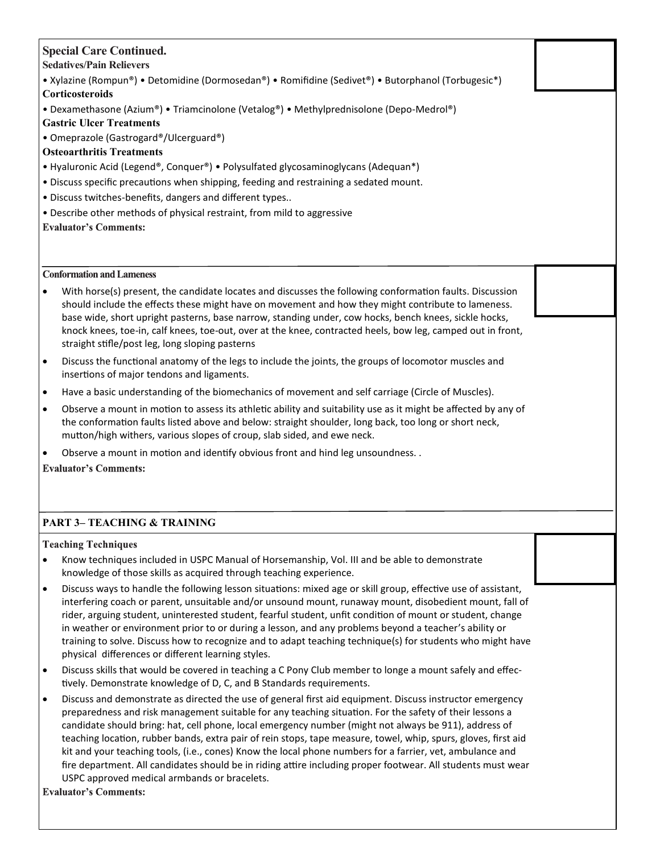# **Special Care Continued.**

**Sedatives/Pain Relievers**

- Xylazine (Rompun®) Detomidine (Dormosedan®) Romifidine (Sedivet®) Butorphanol (Torbugesic\*) **Corticosteroids**
- Dexamethasone (Azium®) Triamcinolone (Vetalog®) Methylprednisolone (Depo-Medrol®)
- **Gastric Ulcer Treatments**
- Omeprazole (Gastrogard®/Ulcerguard®)

# **Osteoarthritis Treatments**

- Hyaluronic Acid (Legend®, Conquer®) Polysulfated glycosaminoglycans (Adequan\*)
- Discuss specific precautions when shipping, feeding and restraining a sedated mount.
- Discuss twitches-benefits, dangers and different types..
- Describe other methods of physical restraint, from mild to aggressive
- **Evaluator's Comments:**

**Conformation and Lameness** 

- With horse(s) present, the candidate locates and discusses the following conformation faults. Discussion should include the effects these might have on movement and how they might contribute to lameness. base wide, short upright pasterns, base narrow, standing under, cow hocks, bench knees, sickle hocks, knock knees, toe-in, calf knees, toe-out, over at the knee, contracted heels, bow leg, camped out in front, straight stifle/post leg, long sloping pasterns
- Discuss the functional anatomy of the legs to include the joints, the groups of locomotor muscles and insertions of major tendons and ligaments.
- Have a basic understanding of the biomechanics of movement and self carriage (Circle of Muscles).
- Observe a mount in motion to assess its athletic ability and suitability use as it might be affected by any of the conformation faults listed above and below: straight shoulder, long back, too long or short neck, mutton/high withers, various slopes of croup, slab sided, and ewe neck.
- Observe a mount in motion and identify obvious front and hind leg unsoundness. .

**Evaluator's Comments:** 

# **PART 3– TEACHING & TRAINING**

**Teaching Techniques** 

- Know techniques included in USPC Manual of Horsemanship, Vol. III and be able to demonstrate knowledge of those skills as acquired through teaching experience.
- Discuss ways to handle the following lesson situations: mixed age or skill group, effective use of assistant, interfering coach or parent, unsuitable and/or unsound mount, runaway mount, disobedient mount, fall of rider, arguing student, uninterested student, fearful student, unfit condition of mount or student, change in weather or environment prior to or during a lesson, and any problems beyond a teacher's ability or training to solve. Discuss how to recognize and to adapt teaching technique(s) for students who might have physical differences or different learning styles.
- Discuss skills that would be covered in teaching a C Pony Club member to longe a mount safely and effectively. Demonstrate knowledge of D, C, and B Standards requirements.
- Discuss and demonstrate as directed the use of general first aid equipment. Discuss instructor emergency preparedness and risk management suitable for any teaching situation. For the safety of their lessons a candidate should bring: hat, cell phone, local emergency number (might not always be 911), address of teaching location, rubber bands, extra pair of rein stops, tape measure, towel, whip, spurs, gloves, first aid kit and your teaching tools, (i.e., cones) Know the local phone numbers for a farrier, vet, ambulance and fire department. All candidates should be in riding attire including proper footwear. All students must wear USPC approved medical armbands or bracelets.

**Evaluator's Comments:**